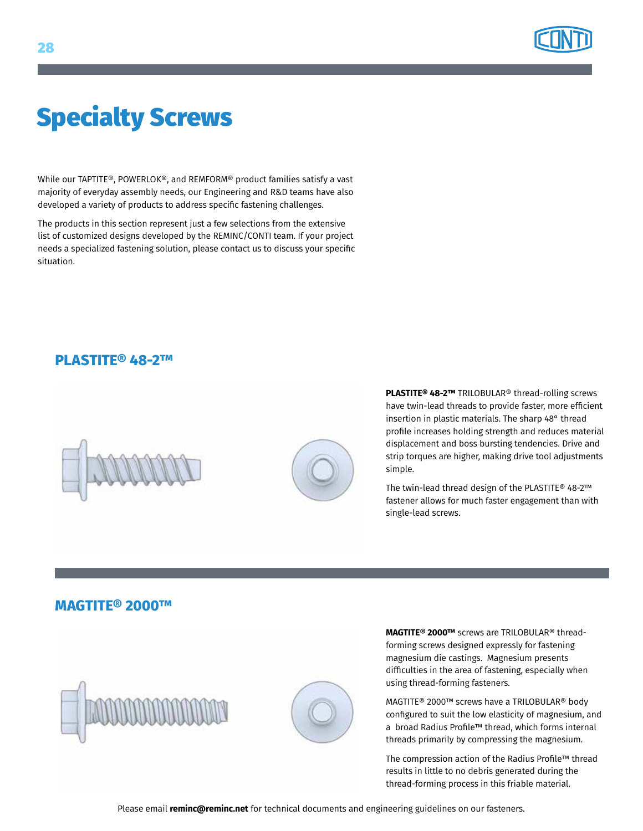

# Specialty Screws

While our TAPTITE®, POWERLOK®, and REMFORM® product families satisfy a vast majority of everyday assembly needs, our Engineering and R&D teams have also developed a variety of products to address specific fastening challenges.

The products in this section represent just a few selections from the extensive list of customized designs developed by the REMINC/CONTI team. If your project needs a specialized fastening solution, please contact us to discuss your specific situation.

### **PLASTITE® 48-2™**





**PLASTITE® 48-2™** TRILOBULAR® thread-rolling screws have twin-lead threads to provide faster, more efficient insertion in plastic materials. The sharp 48° thread profile increases holding strength and reduces material displacement and boss bursting tendencies. Drive and strip torques are higher, making drive tool adjustments simple.

The twin-lead thread design of the PLASTITE® 48-2™ fastener allows for much faster engagement than with single-lead screws.

#### **MAGTITE® 2000™**





**MAGTITE® 2000™** screws are TRILOBULAR® threadforming screws designed expressly for fastening magnesium die castings. Magnesium presents difficulties in the area of fastening, especially when using thread-forming fasteners.

MAGTITE® 2000™ screws have a TRILOBULAR® body configured to suit the low elasticity of magnesium, and a broad Radius Profile™ thread, which forms internal threads primarily by compressing the magnesium.

The compression action of the Radius Profile™ thread results in little to no debris generated during the thread-forming process in this friable material.